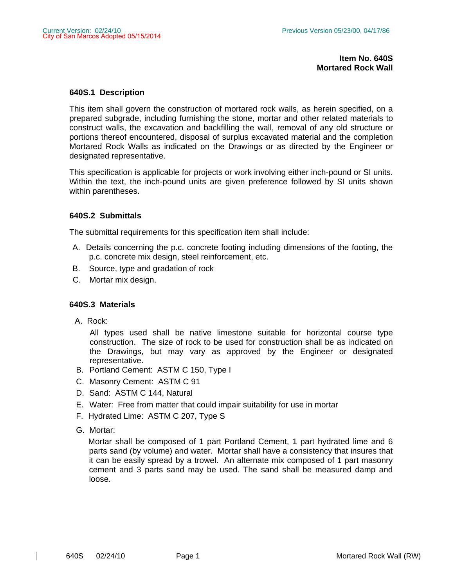## **Item No. 640S Mortared Rock Wall**

### **640S.1 Description**

This item shall govern the construction of mortared rock walls, as herein specified, on a prepared subgrade, including furnishing the stone, mortar and other related materials to construct walls, the excavation and backfilling the wall, removal of any old structure or portions thereof encountered, disposal of surplus excavated material and the completion Mortared Rock Walls as indicated on the Drawings or as directed by the Engineer or designated representative.

This specification is applicable for projects or work involving either inch-pound or SI units. Within the text, the inch-pound units are given preference followed by SI units shown within parentheses.

## **640S.2 Submittals**

The submittal requirements for this specification item shall include:

- A. Details concerning the p.c. concrete footing including dimensions of the footing, the p.c. concrete mix design, steel reinforcement, etc.
- B. Source, type and gradation of rock
- C. Mortar mix design.

## **640S.3 Materials**

A. Rock:

All types used shall be native limestone suitable for horizontal course type construction. The size of rock to be used for construction shall be as indicated on the Drawings, but may vary as approved by the Engineer or designated representative.

- B. Portland Cement: ASTM C 150, Type I
- C. Masonry Cement: ASTM C 91
- D. Sand: ASTM C 144, Natural
- E. Water: Free from matter that could impair suitability for use in mortar
- F. Hydrated Lime: ASTM C 207, Type S
- G. Mortar:

 Mortar shall be composed of 1 part Portland Cement, 1 part hydrated lime and 6 parts sand (by volume) and water. Mortar shall have a consistency that insures that it can be easily spread by a trowel. An alternate mix composed of 1 part masonry cement and 3 parts sand may be used. The sand shall be measured damp and loose.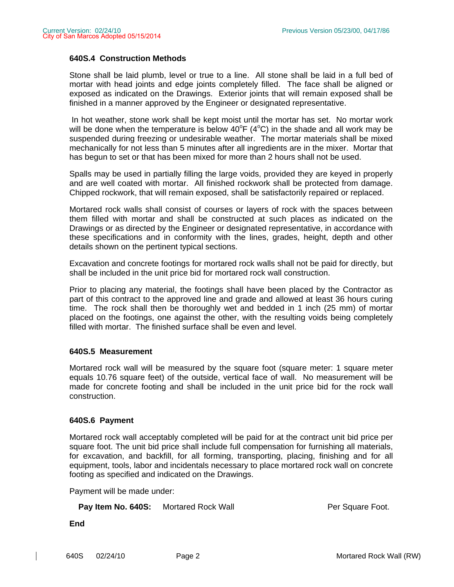# **640S.4 Construction Methods**

Stone shall be laid plumb, level or true to a line. All stone shall be laid in a full bed of mortar with head joints and edge joints completely filled. The face shall be aligned or exposed as indicated on the Drawings. Exterior joints that will remain exposed shall be finished in a manner approved by the Engineer or designated representative.

 In hot weather, stone work shall be kept moist until the mortar has set. No mortar work will be done when the temperature is below  $40^{\circ}F(4^{\circ}C)$  in the shade and all work may be suspended during freezing or undesirable weather. The mortar materials shall be mixed mechanically for not less than 5 minutes after all ingredients are in the mixer. Mortar that has begun to set or that has been mixed for more than 2 hours shall not be used.

Spalls may be used in partially filling the large voids, provided they are keyed in properly and are well coated with mortar. All finished rockwork shall be protected from damage. Chipped rockwork, that will remain exposed, shall be satisfactorily repaired or replaced.

Mortared rock walls shall consist of courses or layers of rock with the spaces between them filled with mortar and shall be constructed at such places as indicated on the Drawings or as directed by the Engineer or designated representative, in accordance with these specifications and in conformity with the lines, grades, height, depth and other details shown on the pertinent typical sections.

Excavation and concrete footings for mortared rock walls shall not be paid for directly, but shall be included in the unit price bid for mortared rock wall construction.

Prior to placing any material, the footings shall have been placed by the Contractor as part of this contract to the approved line and grade and allowed at least 36 hours curing time. The rock shall then be thoroughly wet and bedded in 1 inch (25 mm) of mortar placed on the footings, one against the other, with the resulting voids being completely filled with mortar. The finished surface shall be even and level.

## **640S.5 Measurement**

Mortared rock wall will be measured by the square foot (square meter: 1 square meter equals 10.76 square feet) of the outside, vertical face of wall. No measurement will be made for concrete footing and shall be included in the unit price bid for the rock wall construction.

## **640S.6 Payment**

Mortared rock wall acceptably completed will be paid for at the contract unit bid price per square foot. The unit bid price shall include full compensation for furnishing all materials, for excavation, and backfill, for all forming, transporting, placing, finishing and for all equipment, tools, labor and incidentals necessary to place mortared rock wall on concrete footing as specified and indicated on the Drawings.

Payment will be made under:

**Pay Item No. 640S:** Mortared Rock Wall **Per Square Foot.** Per Square Foot.

**End**